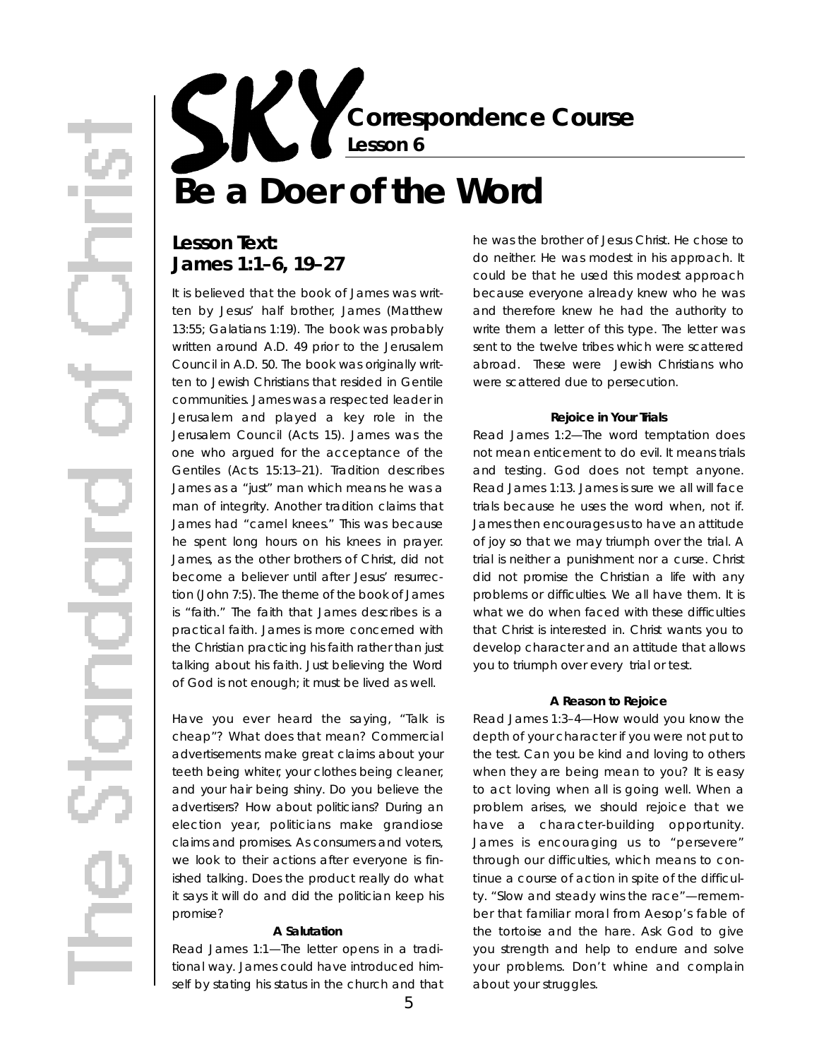**Correspondence Course Lesson 6**

# **Be a Doer of the Word**

## Lesson Text: **James 1:1–6, 19–27**

It is believed that the book of James was written by Jesus' half brother, James (Matthew 13:55; Galatians 1:19). The book was probably written around A.D. 49 prior to the Jerusalem Council in A.D. 50. The book was originally written to Jewish Christians that resided in Gentile communities. James was a respected leader in Jerusalem and played a key role in the Jerusalem Council (Acts 15). James was the one who argued for the acceptance of the Gentiles (Acts 15:13–21). Tradition describes James as a "just" man which means he was a man of integrity. Another tradition claims that James had "camel knees." This was because he spent long hours on his knees in prayer. James, as the other brothers of Christ, did not become a believer until after Jesus' resurrection (John 7:5). The theme of the book of James is "faith." The faith that James describes is a practical faith. James is more concerned with the Christian practicing his faith rather than just talking about his faith. Just believing the Word of God is not enough; it must be lived as well.

Have you ever heard the saying, "Talk is cheap"? What does that mean? Commercial advertisements make great claims about your teeth being whiter, your clothes being cleaner, and your hair being shiny. Do you believe the advertisers? How about politicians? During an election year, politicians make grandiose claims and promises. As consumers and voters, we look to their actions after everyone is finished talking. Does the product really do what it says it will do and did the politician keep his promise?

#### **A Salutation**

*Read James 1:1*—The letter opens in a traditional way. James could have introduced himself by stating his status in the church and that he was the brother of Jesus Christ. He chose to do neither. He was modest in his approach. It could be that he used this modest approach because everyone already knew who he was and therefore knew he had the authority to write them a letter of this type. The letter was sent to the twelve tribes which were scattered abroad. These were Jewish Christians who were scattered due to persecution.

#### **Rejoice in Your Trials**

*Read James 1:2*—The word temptation does not mean enticement to do evil. It means trials and testing. God does not tempt anyone. Read James 1:13. James is sure we all will face trials because he uses the word when, not if. James then encourages us to have an attitude of joy so that we may triumph over the trial. A trial is neither a punishment nor a curse. Christ did not promise the Christian a life with any problems or difficulties. We all have them. It is what we do when faced with these difficulties that Christ is interested in. Christ wants you to develop character and an attitude that allows you to triumph over every trial or test.

#### **A Reason to Rejoice**

*Read James 1:3–4*—How would you know the depth of your character if you were not put to the test. Can you be kind and loving to others when they are being mean to you? It is easy to act loving when all is going well. When a problem arises, we should rejoice that we have a character-building opportunity. James is encouraging us to "persevere " through our difficulties, which means to continue a course of action in spite of the difficulty. "Slow and steady wins the race"-remember that familiar moral from Aesop's fable of the tortoise and the hare. Ask God to give you strength and help to endure and solve your problems. Don't whine and complain about your struggles.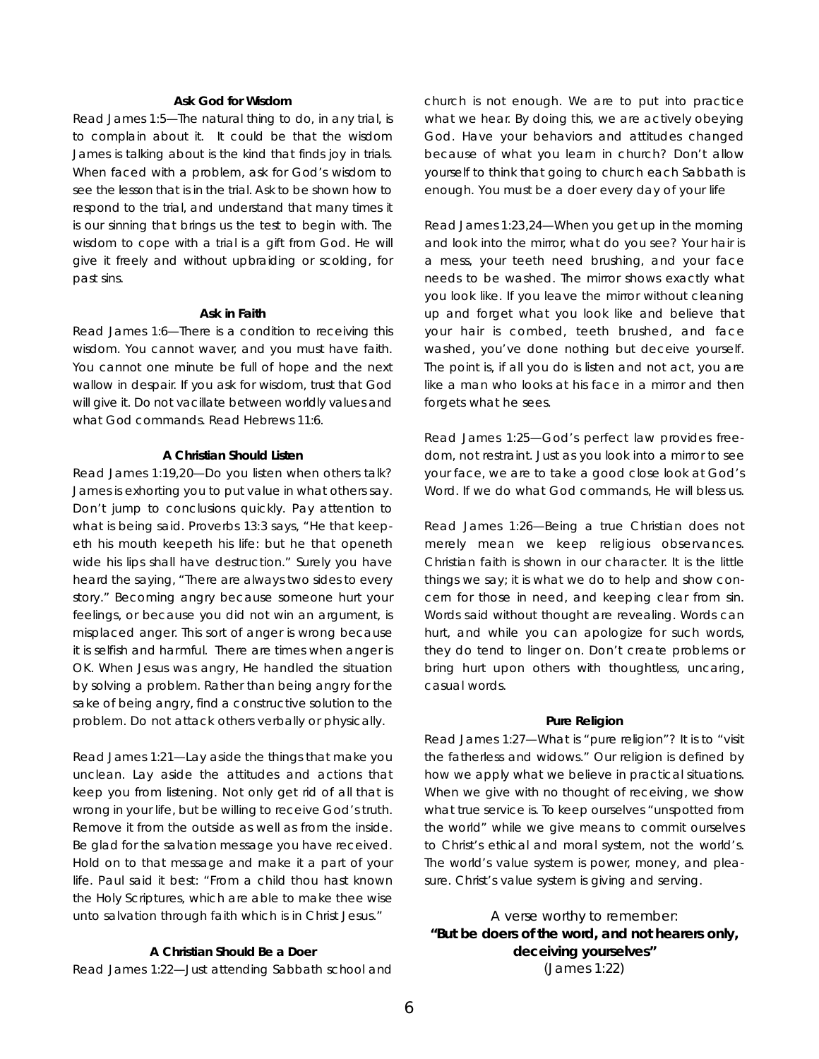#### **Ask God for Wisdom**

*Read James 1:5—*The natural thing to do, in any trial, is to complain about it. It could be that the wisdom James is talking about is the kind that finds joy in trials. When faced with a problem, ask for God's wisdom to see the lesson that is in the trial. Ask to be shown how to respond to the trial, and understand that many times it is our sinning that brings us the test to begin with. The wisdom to cope with a trial is a gift from God. He will give it freely and without upbraiding or scolding, for past sins.

#### **Ask in Faith**

*Read James 1:6*—There is a condition to receiving this wisdom. You cannot waver, and you must have faith. You cannot one minute be full of hope and the next wallow in despair. If you ask for wisdom, trust that God will give it. Do not vacillate between worldly values and what God commands. Read Hebrews 11:6.

#### **A Christian Should Listen**

*Read James 1:19,20—*Do you listen when others talk? James is exhorting you to put value in what others say. Don't jump to conclusions quickly. Pay attention to what is being said. Proverbs 13:3 says, "He that keepeth his mouth keepeth his life: but he that openeth wide his lips shall have destruction." Surely you have heard the saying, "There are always two sides to every story." Becoming angry because someone hurt your feelings, or because you did not win an argument, is misplaced anger. This sort of anger is wrong because it is selfish and harmful. There are times when anger is OK. When Jesus was angry, He handled the situation by solving a problem. Rather than being angry for the sake of being angry, find a constructive solution to the problem. Do not attack others verbally or physically.

*Read James 1:21—*Lay aside the things that make you unclean. Lay aside the attitudes and actions that keep you from listening. Not only get rid of all that is wrong in your life, but be willing to receive God's truth. Remove it from the outside as well as from the inside. Be glad for the salvation message you have received. Hold on to that message and make it a part of your life. Paul said it best: "From a child thou hast known the Holy Scriptures, which are able to make thee wise unto salvation through faith which is in Christ Jesus."

#### **A Christian Should Be a Doer**

*Read James 1:22—*Just attending Sabbath school and

church is not enough. We are to put into practice what we hear. By doing this, we are actively obeying God. Have your behaviors and attitudes changed because of what you learn in church? Don't allow yourself to think that going to church each Sabbath is enough. You must be a doer every day of your life

*Read James 1:23,24*—When you get up in the morning and look into the mirror, what do you see? Your hair is a mess, your teeth need brushing, and your face needs to be washed. The mirror shows exactly what you look like. If you leave the mirror without cleaning up and forget what you look like and believe that your hair is combed, teeth brushed, and face washed, you've done nothing but deceive yourself. The point is, if all you do is listen and not act, you are like a man who looks at his face in a mirror and then forgets what he sees.

*Read James 1:25*—God's perfect law provides freedom, not restraint. Just as you look into a mirror to see your face, we are to take a good close look at God's Word. If we do what God commands, He will bless us.

*Read James 1:26—*Being a true Christian does not merely mean we keep religious observances. Christian faith is shown in our character. It is the little things we say; it is what we do to help and show concern for those in need, and keeping clear from sin. Words said without thought are revealing. Words can hurt, and while you can apologize for such words, they do tend to linger on. Don't create problems or bring hurt upon others with thoughtless, uncaring, casual words.

#### **Pure Religion**

*Read James 1:27—*What is "pure religion"? It is to "visit the fatherless and widows." Our religion is defined by how we apply what we believe in practical situations. When we give with no thought of receiving, we show what true service is. To keep ourselves "unspotted from the world" while we give means to commit ourselves to Christ's ethical and moral system, not the world's. The world's value system is power, money, and pleasure. Christ's value system is giving and serving.

A verse worthy to remember: **"But be doers of the word, and not hearers only, deceiving yourselves"** (James 1:22)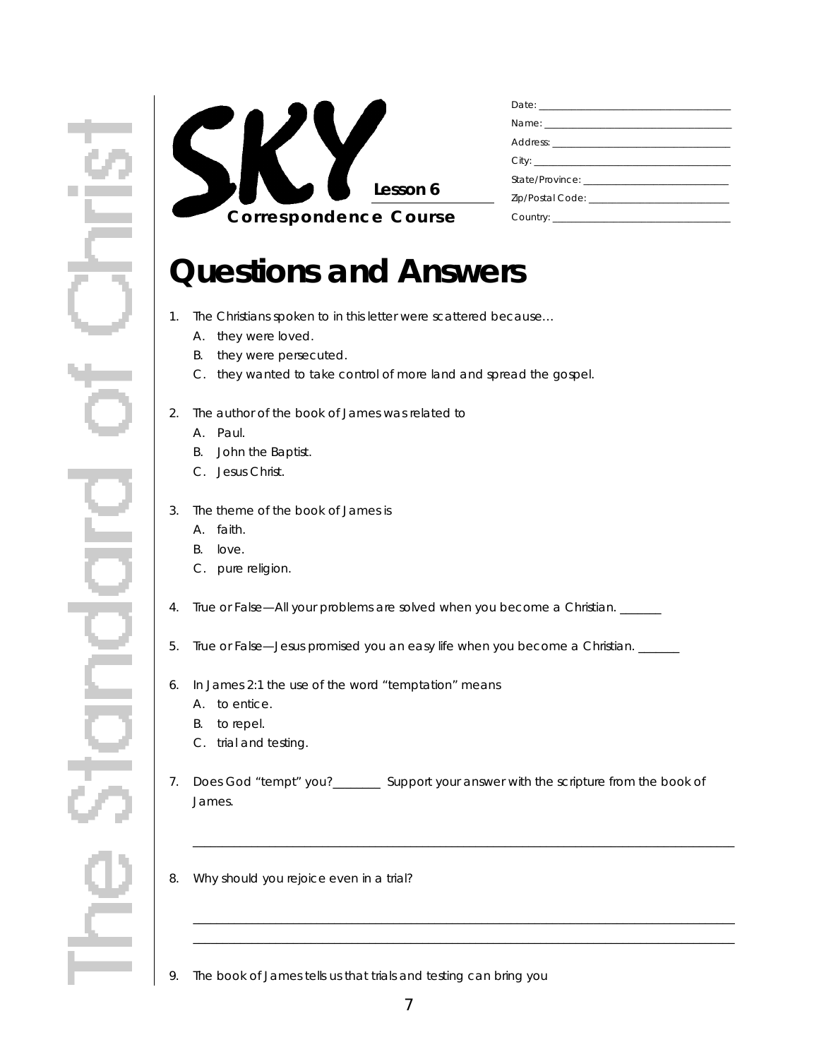

## **Questions and Answers**

- 1. The Christians spoken to in this letter were scattered because…
	- A. they were loved.
	- B. they were persecuted.
	- C. they wanted to take control of more land and spread the gospel.
- 2. The author of the book of James was related to
	- A. Paul.
	- B. John the Baptist.
	- C. Jesus Christ.
- 3. The theme of the book of James is
	- A. faith.
	- B. love.
	- C. pure religion.
- 4. True or False—All your problems are solved when you become a Christian. \_\_\_\_\_
- 5. True or False—Jesus promised you an easy life when you become a Christian. \_\_\_\_\_\_\_
- 6. In James 2:1 the use of the word "temptation" means
	- A. to entice.
	- B. to repel.
	- C. trial and testing.
- 7. Does God "tempt" you?\_\_\_\_\_\_\_\_\_ Support your answer with the scripture from the book of James.

\_ \_ \_ \_ \_ \_ \_ \_ \_ \_ \_ \_ \_ \_ \_ \_ \_ \_ \_ \_ \_ \_ \_ \_ \_ \_ \_ \_ \_ \_ \_ \_ \_ \_ \_ \_ \_ \_ \_ \_ \_ \_ \_ \_ \_ \_ \_ \_ \_ \_ \_ \_ \_ \_ \_ \_ \_ \_ \_ \_ \_ \_ \_ \_ \_ \_ \_ \_ \_ \_ \_ \_ \_ \_ \_ \_ \_ \_ \_ \_ \_ \_ \_ \_ \_ \_ \_ \_ \_ \_ \_ \_

\_ \_ \_ \_ \_ \_ \_ \_ \_ \_ \_ \_ \_ \_ \_ \_ \_ \_ \_ \_ \_ \_ \_ \_ \_ \_ \_ \_ \_ \_ \_ \_ \_ \_ \_ \_ \_ \_ \_ \_ \_ \_ \_ \_ \_ \_ \_ \_ \_ \_ \_ \_ \_ \_ \_ \_ \_ \_ \_ \_ \_ \_ \_ \_ \_ \_ \_ \_ \_ \_ \_ \_ \_ \_ \_ \_ \_ \_ \_ \_ \_ \_ \_ \_ \_ \_ \_ \_ \_ \_ \_ \_ \_ \_ \_ \_ \_ \_ \_ \_ \_ \_ \_ \_ \_ \_ \_ \_ \_ \_ \_ \_ \_ \_ \_ \_ \_ \_ \_ \_ \_ \_ \_ \_ \_ \_ \_ \_ \_ \_ \_ \_ \_ \_ \_ \_ \_ \_ \_ \_ \_ \_ \_ \_ \_ \_ \_ \_ \_ \_ \_ \_ \_ \_ \_ \_ \_ \_ \_ \_ \_ \_ \_ \_ \_ \_ \_ \_ \_ \_ \_ \_ \_ \_ \_ \_ \_ \_ \_ \_ \_ \_ \_ \_

- 8. Why should you rejoice even in a trial?
- 9. The book of James tells us that trials and testing can bring you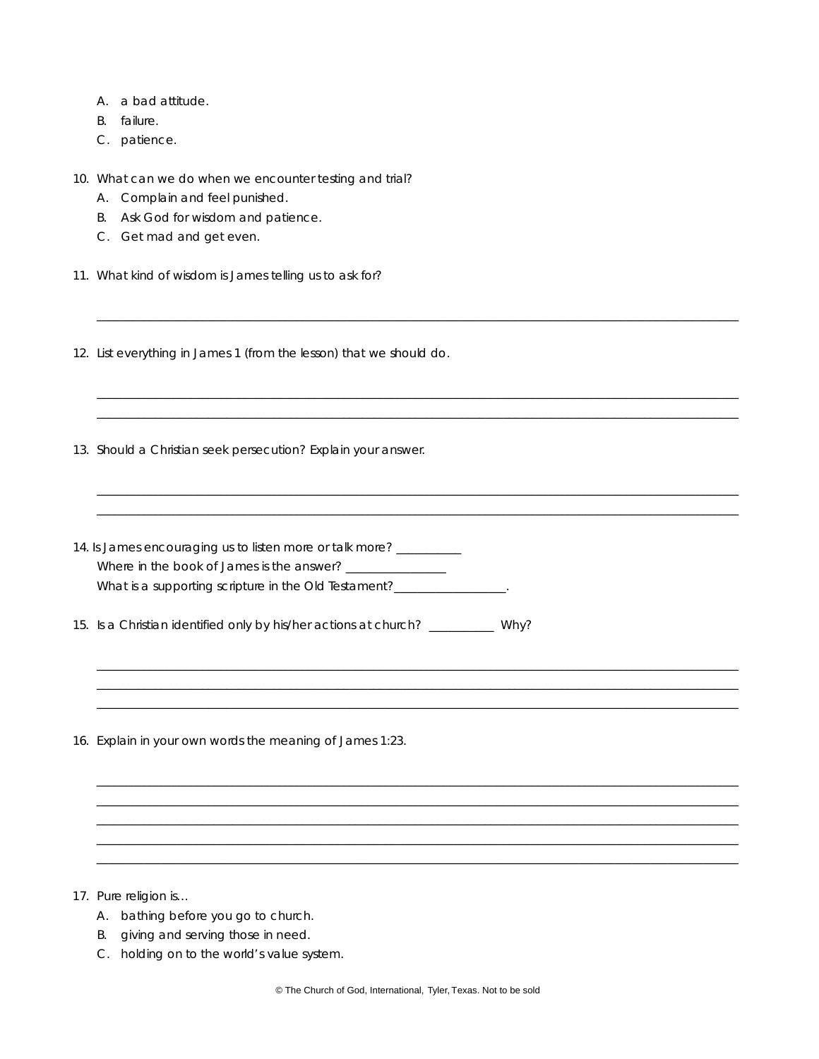- A. a bad attitude.
- B. failure.
- C. patience.
- 10. What can we do when we encounter testing and trial?
	- A. Complain and feel punished.
	- B. Ask God for wisdom and patience.
	- C. Get mad and get even.
- 11. What kind of wisdom is James telling us to ask for?
- 12. List everything in James 1 (from the lesson) that we should do.
- 13. Should a Christian seek persecution? Explain your answer.
- 14. Is James encouraging us to listen more or talk more? \_\_\_\_\_\_\_\_\_ Where in the book of James is the answer? \_\_\_\_\_\_\_\_\_\_\_\_\_\_\_\_ What is a supporting scripture in the Old Testament?\_\_\_\_\_\_\_\_\_\_\_\_\_\_\_
- 15. Is a Christian identified only by his/her actions at church? \_\_\_\_\_\_\_\_\_\_ Why?
- 16. Explain in your own words the meaning of James 1:23.

- 17. Pure religion is...
	- A. bathing before you go to church.
	- B. giving and serving those in need.
	- C. holding on to the world's value system.